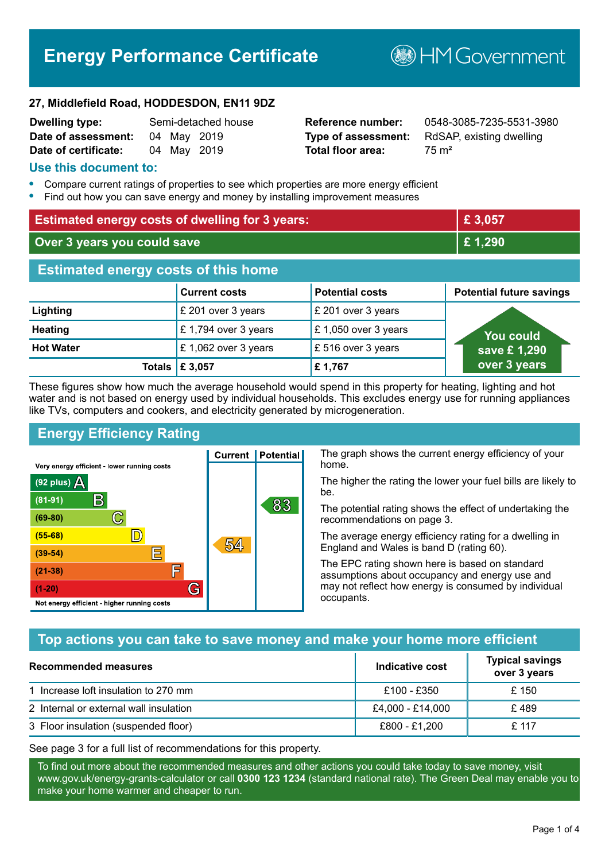# **Energy Performance Certificate**

**B**HMGovernment

#### **27, Middlefield Road, HODDESDON, EN11 9DZ**

| <b>Dwelling type:</b> |             | Semi-detached house |
|-----------------------|-------------|---------------------|
| Date of assessment:   | 04 May 2019 |                     |
| Date of certificate:  | 04 May 2019 |                     |

# **Total floor area:** 75 m<sup>2</sup>

**Reference number:** 0548-3085-7235-5531-3980 **Type of assessment:** RdSAP, existing dwelling

#### **Use this document to:**

- **•** Compare current ratings of properties to see which properties are more energy efficient
- **•** Find out how you can save energy and money by installing improvement measures

| <b>Estimated energy costs of dwelling for 3 years:</b> |                           |                        | £3,057                          |
|--------------------------------------------------------|---------------------------|------------------------|---------------------------------|
| Over 3 years you could save                            |                           |                        | £1,290                          |
| <b>Estimated energy costs of this home</b>             |                           |                        |                                 |
|                                                        | <b>Current costs</b>      | <b>Potential costs</b> | <b>Potential future savings</b> |
| Lighting                                               | £ 201 over 3 years        | £ 201 over 3 years     |                                 |
| <b>Heating</b>                                         | £1,794 over 3 years       | £ 1,050 over 3 years   | You could                       |
| <b>Hot Water</b>                                       | £ 1,062 over 3 years      | £516 over 3 years      | save £1,290                     |
|                                                        | Totals $\mathsf{E}$ 3,057 | £1,767                 | over 3 years                    |

These figures show how much the average household would spend in this property for heating, lighting and hot water and is not based on energy used by individual households. This excludes energy use for running appliances like TVs, computers and cookers, and electricity generated by microgeneration.

**Current | Potential** 

54

# **Energy Efficiency Rating**

 $\mathbb{C}$ 

 $\mathbb{D}$ 

E

庐

G

Very energy efficient - lower running costs

 $\mathsf{R}% _{T}$ 

Not energy efficient - higher running costs

(92 plus)  $\Delta$ 

 $(81 - 91)$ 

 $(69 - 80)$ 

 $(55-68)$ 

 $(39 - 54)$ 

 $(21-38)$ 

 $(1-20)$ 

The graph shows the current energy efficiency of your home.

The higher the rating the lower your fuel bills are likely to be.

The potential rating shows the effect of undertaking the recommendations on page 3.

The average energy efficiency rating for a dwelling in England and Wales is band D (rating 60).

The EPC rating shown here is based on standard assumptions about occupancy and energy use and may not reflect how energy is consumed by individual occupants.

# **Top actions you can take to save money and make your home more efficient**

83

| Recommended measures                   | Indicative cost  | <b>Typical savings</b><br>over 3 years |
|----------------------------------------|------------------|----------------------------------------|
| 1 Increase loft insulation to 270 mm   | £100 - £350      | £ 150                                  |
| 2 Internal or external wall insulation | £4,000 - £14,000 | £489                                   |
| 3 Floor insulation (suspended floor)   | £800 - £1,200    | £ 117                                  |

See page 3 for a full list of recommendations for this property.

To find out more about the recommended measures and other actions you could take today to save money, visit www.gov.uk/energy-grants-calculator or call **0300 123 1234** (standard national rate). The Green Deal may enable you to make your home warmer and cheaper to run.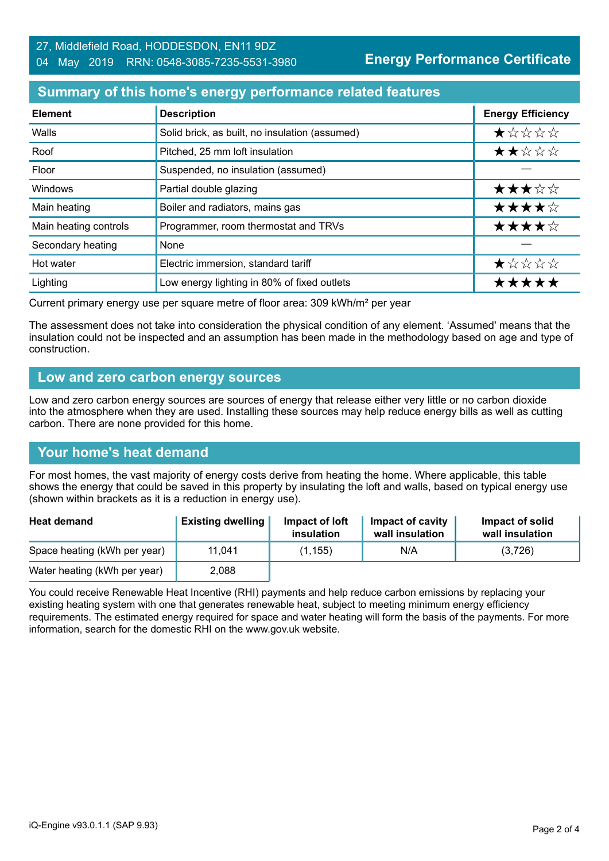#### 27, Middlefield Road, HODDESDON, EN11 9DZ 04 May 2019 RRN: 0548-3085-7235-5531-3980

**Energy Performance Certificate**

### **Summary of this home's energy performance related features**

| <b>Element</b>        | <b>Description</b>                             | <b>Energy Efficiency</b> |
|-----------------------|------------------------------------------------|--------------------------|
| Walls                 | Solid brick, as built, no insulation (assumed) | ★☆☆☆☆                    |
| Roof                  | Pitched, 25 mm loft insulation                 | ★★☆☆☆                    |
| Floor                 | Suspended, no insulation (assumed)             |                          |
| Windows               | Partial double glazing                         | ★★★☆☆                    |
| Main heating          | Boiler and radiators, mains gas                | ★★★★☆                    |
| Main heating controls | Programmer, room thermostat and TRVs           | ★★★★☆                    |
| Secondary heating     | None                                           |                          |
| Hot water             | Electric immersion, standard tariff            | $\star$ * * * *          |
| Lighting              | Low energy lighting in 80% of fixed outlets    | *****                    |

Current primary energy use per square metre of floor area: 309 kWh/m² per year

The assessment does not take into consideration the physical condition of any element. 'Assumed' means that the insulation could not be inspected and an assumption has been made in the methodology based on age and type of construction.

#### **Low and zero carbon energy sources**

Low and zero carbon energy sources are sources of energy that release either very little or no carbon dioxide into the atmosphere when they are used. Installing these sources may help reduce energy bills as well as cutting carbon. There are none provided for this home.

#### **Your home's heat demand**

For most homes, the vast majority of energy costs derive from heating the home. Where applicable, this table shows the energy that could be saved in this property by insulating the loft and walls, based on typical energy use (shown within brackets as it is a reduction in energy use).

| <b>Heat demand</b>           | <b>Existing dwelling</b> | Impact of loft<br>insulation | Impact of cavity<br>wall insulation | Impact of solid<br>wall insulation |
|------------------------------|--------------------------|------------------------------|-------------------------------------|------------------------------------|
| Space heating (kWh per year) | 11.041                   | (1, 155)                     | N/A                                 | (3,726)                            |
| Water heating (kWh per year) | 2,088                    |                              |                                     |                                    |

You could receive Renewable Heat Incentive (RHI) payments and help reduce carbon emissions by replacing your existing heating system with one that generates renewable heat, subject to meeting minimum energy efficiency requirements. The estimated energy required for space and water heating will form the basis of the payments. For more information, search for the domestic RHI on the www.gov.uk website.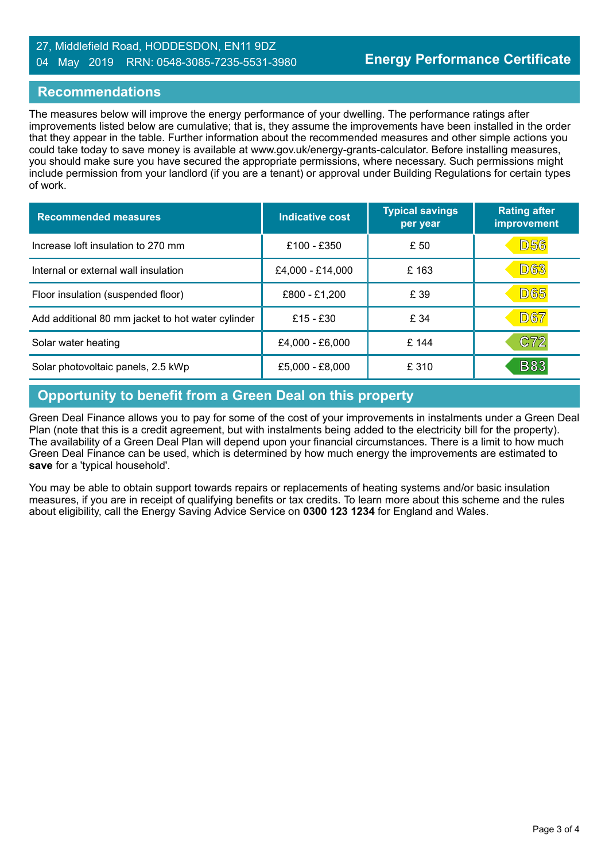#### 27, Middlefield Road, HODDESDON, EN11 9DZ 04 May 2019 RRN: 0548-3085-7235-5531-3980

#### **Recommendations**

The measures below will improve the energy performance of your dwelling. The performance ratings after improvements listed below are cumulative; that is, they assume the improvements have been installed in the order that they appear in the table. Further information about the recommended measures and other simple actions you could take today to save money is available at www.gov.uk/energy-grants-calculator. Before installing measures, you should make sure you have secured the appropriate permissions, where necessary. Such permissions might include permission from your landlord (if you are a tenant) or approval under Building Regulations for certain types of work.

| <b>Recommended measures</b>                       | Indicative cost  | <b>Typical savings</b><br>per year | <b>Rating after</b><br>improvement |
|---------------------------------------------------|------------------|------------------------------------|------------------------------------|
| Increase loft insulation to 270 mm                | £100 - £350      | £ 50                               | D56                                |
| Internal or external wall insulation              | £4,000 - £14,000 | £163                               | <b>D63</b>                         |
| Floor insulation (suspended floor)                | £800 - £1,200    | £ 39                               | <b>D65</b>                         |
| Add additional 80 mm jacket to hot water cylinder | £15 - £30        | £ 34                               | <b>D67</b>                         |
| Solar water heating                               | £4,000 - £6,000  | £ 144                              | C72                                |
| Solar photovoltaic panels, 2.5 kWp                | £5,000 - £8,000  | £ 310                              | <b>B83</b>                         |

# **Opportunity to benefit from a Green Deal on this property**

Green Deal Finance allows you to pay for some of the cost of your improvements in instalments under a Green Deal Plan (note that this is a credit agreement, but with instalments being added to the electricity bill for the property). The availability of a Green Deal Plan will depend upon your financial circumstances. There is a limit to how much Green Deal Finance can be used, which is determined by how much energy the improvements are estimated to **save** for a 'typical household'.

You may be able to obtain support towards repairs or replacements of heating systems and/or basic insulation measures, if you are in receipt of qualifying benefits or tax credits. To learn more about this scheme and the rules about eligibility, call the Energy Saving Advice Service on **0300 123 1234** for England and Wales.